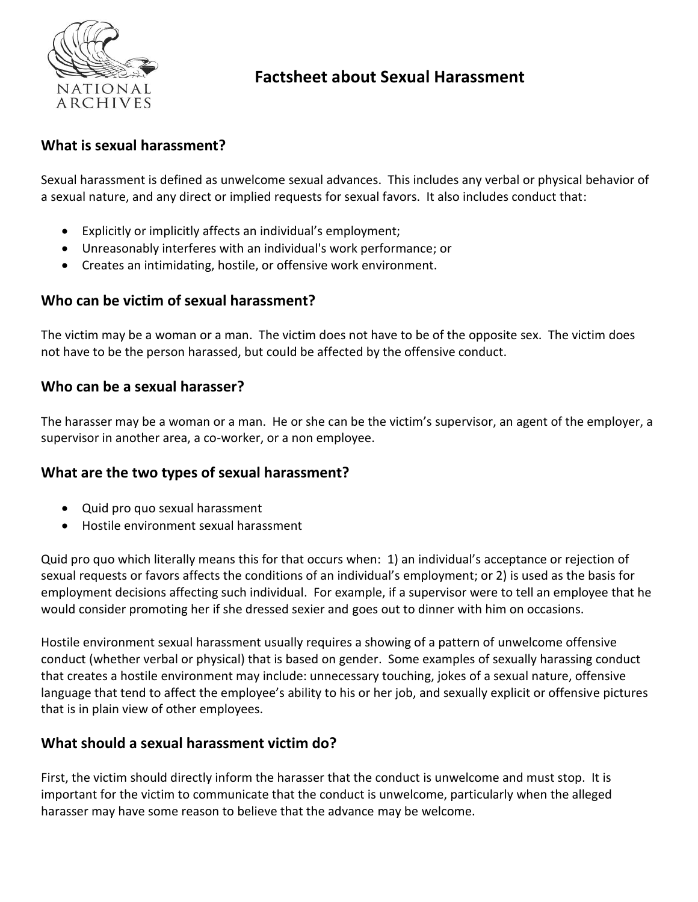

# **Factsheet about Sexual Harassment**

# **What is sexual harassment?**

Sexual harassment is defined as unwelcome sexual advances. This includes any verbal or physical behavior of a sexual nature, and any direct or implied requests for sexual favors. It also includes conduct that:

- Explicitly or implicitly affects an individual's employment;
- Unreasonably interferes with an individual's work performance; or
- Creates an intimidating, hostile, or offensive work environment.

#### **Who can be victim of sexual harassment?**

The victim may be a woman or a man. The victim does not have to be of the opposite sex. The victim does not have to be the person harassed, but could be affected by the offensive conduct.

### **Who can be a sexual harasser?**

The harasser may be a woman or a man. He or she can be the victim's supervisor, an agent of the employer, a supervisor in another area, a co-worker, or a non employee.

## **What are the two types of sexual harassment?**

- Quid pro quo sexual harassment
- Hostile environment sexual harassment

Quid pro quo which literally means this for that occurs when: 1) an individual's acceptance or rejection of sexual requests or favors affects the conditions of an individual's employment; or 2) is used as the basis for employment decisions affecting such individual. For example, if a supervisor were to tell an employee that he would consider promoting her if she dressed sexier and goes out to dinner with him on occasions.

Hostile environment sexual harassment usually requires a showing of a pattern of unwelcome offensive conduct (whether verbal or physical) that is based on gender. Some examples of sexually harassing conduct that creates a hostile environment may include: unnecessary touching, jokes of a sexual nature, offensive language that tend to affect the employee's ability to his or her job, and sexually explicit or offensive pictures that is in plain view of other employees.

#### **What should a sexual harassment victim do?**

First, the victim should directly inform the harasser that the conduct is unwelcome and must stop. It is important for the victim to communicate that the conduct is unwelcome, particularly when the alleged harasser may have some reason to believe that the advance may be welcome.